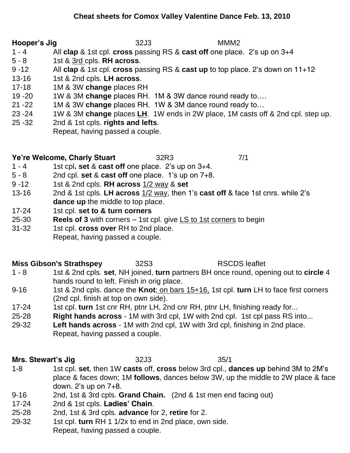**Hooper's Jig** 32J3 MMM2

- 1 4 All **clap** & 1st cpl. **cross** passing RS & **cast off** one place. 2's up on 3+4
- 5 8 1st & 3rd cpls. **RH across**.
- 9 -12 All **clap** & 1st cpl. **cross** passing RS & **cast up** to top place. 2's down on 11+12
- 13-16 1st & 2nd cpls. **LH across**.
- 17-18 1M & 3W **change** places RH
- 19 -20 1W & 3M **change** places RH. 1M & 3W dance round ready to….
- 21 -22 1M & 3W **change** places RH. 1W & 3M dance round ready to…
- 23 -24 1W & 3M **change** places **LH**. 1W ends in 2W place, 1M casts off & 2nd cpl. step up.
- 25 -32 2nd & 1st cpls. **rights and lefts**.
	- Repeat, having passed a couple.

### **Ye're Welcome, Charly Stuart** 32R3 7/1

- 1 4 1st cpl**. set** & **cast off** one place. 2's up on 3+4.
- 5 8 2nd cpl. **set** & **cast off** one place. 1's up on 7+8.
- 9 -12 1st & 2nd cpls. **RH across** 1/2 way & **set**
- 13-16 2nd & 1st cpls. **LH across** 1/2 way, then 1's **cast off** & face 1st cnrs. while 2's **dance up** the middle to top place.
- 17-24 1st cpl. **set to & turn corners**
- 25-30 **Reels of 3** with corners 1st cpl. give LS to 1st corners to begin
- 31-32 1st cpl. **cross over** RH to 2nd place.
	- Repeat, having passed a couple.

### **Miss Gibson's Strathspey** 32S3 RSCDS leaflet

### 1 - 8 1st & 2nd cpls. **set**, NH joined, **turn** partners BH once round, opening out to **circle** 4 hands round to left. Finish in orig place.

- 9-16 1st & 2nd cpls. dance the **Knot**; on bars 15+16, 1st cpl. **turn** LH to face first corners (2nd cpl. finish at top on own side).
- 17-24 1st cpl. **turn** 1st cnr RH, ptnr LH, 2nd cnr RH, ptnr LH, finishing ready for...
- 25-28 **Right hands across** 1M with 3rd cpl, 1W with 2nd cpl. 1st cpl pass RS into...
- 29-32 **Left hands across** 1M with 2nd cpl, 1W with 3rd cpl, finishing in 2nd place. Repeat, having passed a couple.

# **Mrs. Stewart's Jig** 32J3 35/1

- 1-8 1st cpl. **set**, then 1W **casts** off, **cross** below 3rd cpl., **dances up** behind 3M to 2M's place & faces down; 1M **follows**, dances below 3W, up the middle to 2W place & face down. 2's up on 7+8.
- 9-16 2nd, 1st & 3rd cpls. **Grand Chain.** (2nd & 1st men end facing out)
- 17-24 2nd & 1st cpls. **Ladies' Chain**.
- 25-28 2nd, 1st & 3rd cpls. **advance** for 2, **retire** for 2.
- 29-32 1st cpl. **turn** RH 1 1/2x to end in 2nd place, own side.
	- Repeat, having passed a couple.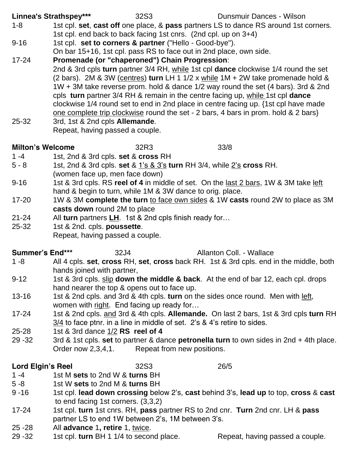**Linnea's Strathspey\*\*\*** 32S3 Dunsmuir Dances - Wilson

- 1-8 1st cpl. **set**, **cast off** one place, & **pass** partners LS to dance RS around 1st corners. 1st cpl. end back to back facing 1st cnrs. (2nd cpl. up on 3+4)
- 9-16 1st cpl. **set to corners & partner** ("Hello Good-bye").
	- On bar 15+16, 1st cpl. pass RS to face out in 2nd place, own side.
- 17-24 **Promenade (or "chaperoned") Chain Progression**: 2nd & 3rd cpls **turn** partner 3/4 RH, while 1st cpl **dance** clockwise 1/4 round the set (2 bars). 2M & 3W (centres) **turn** LH 1 1/2 x while 1M + 2W take promenade hold & 1W + 3M take reverse prom. hold & dance 1/2 way round the set (4 bars). 3rd & 2nd cpls **turn** partner 3/4 RH & remain in the centre facing up, while 1st cpl **dance** clockwise 1/4 round set to end in 2nd place in centre facing up. {1st cpl have made one complete trip clockwise round the set - 2 bars, 4 bars in prom. hold & 2 bars}
- 25-32 3rd, 1st & 2nd cpls **Allemande**. Repeat, having passed a couple.

## **Milton's Welcome** 32R3 33/8

- 1 -4 1st, 2nd & 3rd cpls. **set** & **cross** RH
- 5 8 1st, 2nd & 3rd cpls. **set** & 1's & 3's **turn** RH 3/4, while 2's **cross** RH. (women face up, men face down)
- 9-16 1st & 3rd cpls. RS **reel of 4** in middle of set. On the last 2 bars, 1W & 3M take left hand & begin to turn, while 1M & 3W dance to orig. place.
- 17-20 1W & 3M **complete the turn** to face own sides & 1W **casts** round 2W to place as 3M **casts down** round 2M to place
- 21-24 All **turn** partners **LH**. 1st & 2nd cpls finish ready for…
- 25-32 1st & 2nd. cpls. **poussette**. Repeat, having passed a couple.

## **Summer's End\*\*\*** 32J4 Allanton Coll. - Wallace

- 1 -8 All 4 cpls. **set**, **cross** RH, **set**, **cross** back RH. 1st & 3rd cpls. end in the middle, both hands joined with partner,
- 9-12 1st & 3rd cpls. slip **down the middle & back**. At the end of bar 12, each cpl. drops hand nearer the top & opens out to face up.
- 13-16 1st & 2nd cpls. and 3rd & 4th cpls. **turn** on the sides once round. Men with left, women with right. End facing up ready for…
- 17-24 1st & 2nd cpls. and 3rd & 4th cpls. **Allemande.** On last 2 bars, 1st & 3rd cpls **turn** RH 3/4 to face ptnr. in a line in middle of set. 2's & 4's retire to sides.
- 25-28 1st & 3rd dance 1/2 **RS reel of 4**
- 29 -32 3rd & 1st cpls. **set** to partner & dance **petronella turn** to own sides in 2nd + 4th place. Order now 2,3,4,1. Repeat from new positions.

### **Lord Elgin's Reel** 32S3 26/5

- 1 -4 1st M **sets** to 2nd W & **turns** BH
- 5 -8 1st W **sets** to 2nd M & **turns** BH
- 9 -16 1st cpl. **lead down crossing** below 2's, **cast** behind 3's, **lead up** to top, **cross** & **cast** to end facing 1st corners. (3,3,2)
- 17-24 1st cpl. **turn** 1st cnrs. RH, **pass** partner RS to 2nd cnr. **Turn** 2nd cnr. LH & **pass** partner LS to end 1W between 2's, 1M between 3's.
- 25 -28 All **advance** 1**, retire** 1, twice.
- 29 -32 1st cpl. **turn** BH 1 1/4 to second place. Repeat, having passed a couple.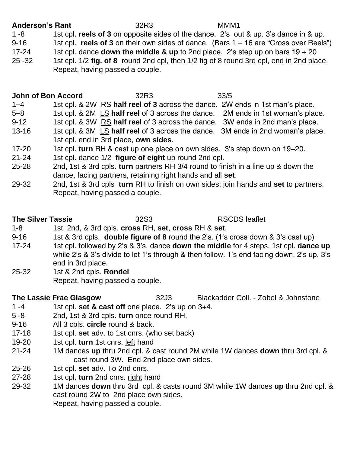### **Anderson's Rant** 32R3 MMM1

1 -8 1st cpl. **reels of 3** on opposite sides of the dance. 2's out & up. 3's dance in & up. 9-16 1st cpl. **reels of 3** on their own sides of dance. (Bars 1 – 16 are "Cross over Reels") 17-24 1st cpl. dance **down the middle & up** to 2nd place. 2's step up on bars  $19 + 20$ 

25 -32 1st cpl. 1/2 **fig. of 8** round 2nd cpl, then 1/2 fig of 8 round 3rd cpl, end in 2nd place. Repeat, having passed a couple.

### **John of Bon Accord** 32R3 33/5

- 1–4 1st cpl. & 2W RS **half reel of 3** across the dance. 2W ends in 1st man's place.
- 5–8 1st cpl. & 2M LS **half reel** of 3 across the dance. 2M ends in 1st woman's place.
- 9-12 1st cpl. & 3W RS **half reel** of 3 across the dance. 3W ends in 2nd man's place.
- 13-16 1st cpl. & 3M LS **half reel** of 3 across the dance. 3M ends in 2nd woman's place. 1st cpl. end in 3rd place, **own sides**.
- 17-20 1st cpl. **turn** RH & cast up one place on own sides. 3's step down on 19+20.
- 21-24 1st cpl. dance 1/2 **figure of eight** up round 2nd cpl.
- 25-28 2nd, 1st & 3rd cpls. **turn** partners RH 3/4 round to finish in a line up & down the dance, facing partners, retaining right hands and all **set**.
- 29-32 2nd, 1st & 3rd cpls **turn** RH to finish on own sides; join hands and **set** to partners. Repeat, having passed a couple.

## **The Silver Tassie** 32S3 RSCDS leaflet

- 1-8 1st, 2nd, & 3rd cpls. **cross** RH, **set**, **cross** RH & **set**.
- 9-16 1st & 3rd cpls. **double figure of 8** round the 2's. (1's cross down & 3's cast up)
- 17-24 1st cpl. followed by 2's & 3's, dance **down the middle** for 4 steps. 1st cpl. **dance up** while 2's & 3's divide to let 1's through & then follow. 1's end facing down, 2's up. 3's end in 3rd place.
- 25-32 1st & 2nd cpls. **Rondel** Repeat, having passed a couple.

**The Lassie Frae Glasgow** 32J3 Blackadder Coll. - Zobel & Johnstone

- 1 -4 1st cpl. **set & cast off** one place. 2's up on 3+4.
- 5 -8 2nd, 1st & 3rd cpls. **turn** once round RH.
- 9-16 All 3 cpls. **circle** round & back.
- 17-18 1st cpl. **set** adv. to 1st cnrs. (who set back)
- 19-20 1st cpl. **turn** 1st cnrs. left hand
- 21-24 1M dances **up** thru 2nd cpl. & cast round 2M while 1W dances **down** thru 3rd cpl. & cast round 3W. End 2nd place own sides.
- 25-26 1st cpl. **set** adv. To 2nd cnrs.
- 27-28 1st cpl. **turn** 2nd cnrs. right hand
- 29-32 1M dances **down** thru 3rd cpl. & casts round 3M while 1W dances **up** thru 2nd cpl. & cast round 2W to 2nd place own sides. Repeat, having passed a couple.